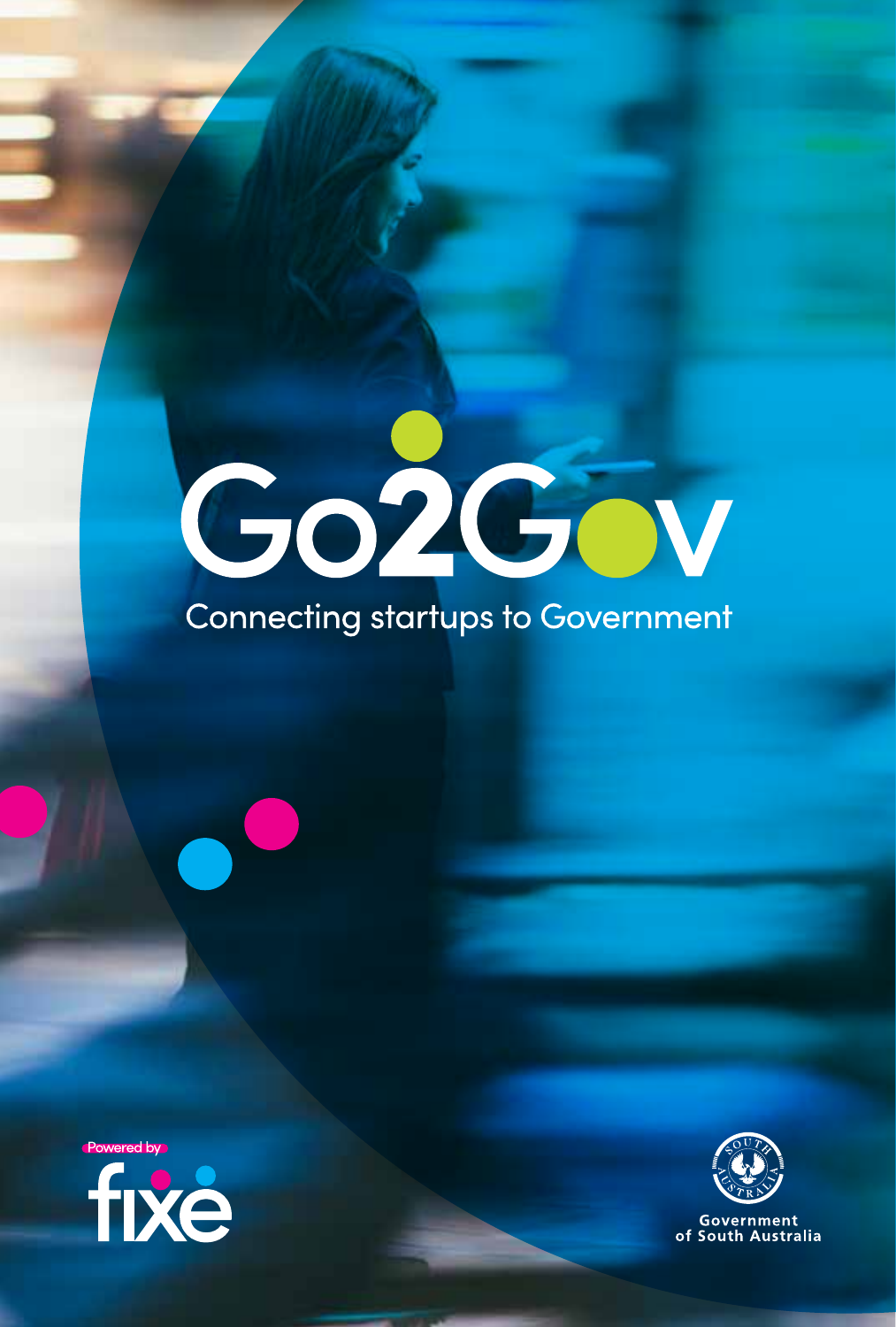# Go2Gov

### **Connecting startups to Government**





of South Australia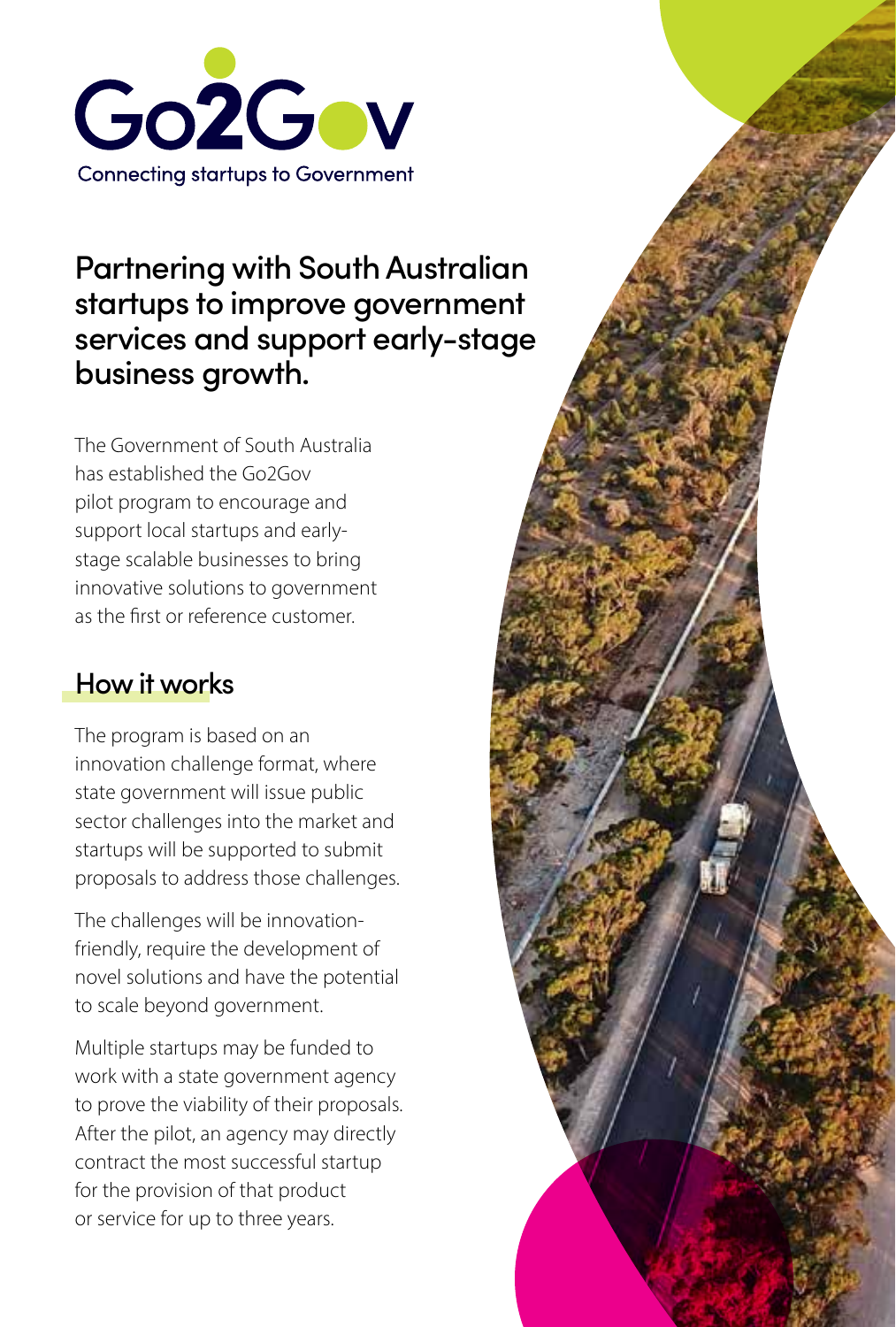

#### Partnering with South Australian startups to improve government services and support early-stage business growth.

The Government of South Australia has established the Go2Gov pilot program to encourage and support local startups and earlystage scalable businesses to bring innovative solutions to government as the first or reference customer.

#### How it works

The program is based on an innovation challenge format, where state government will issue public sector challenges into the market and startups will be supported to submit proposals to address those challenges.

The challenges will be innovationfriendly, require the development of novel solutions and have the potential to scale beyond government.

Multiple startups may be funded to work with a state government agency to prove the viability of their proposals. After the pilot, an agency may directly contract the most successful startup for the provision of that product or service for up to three years.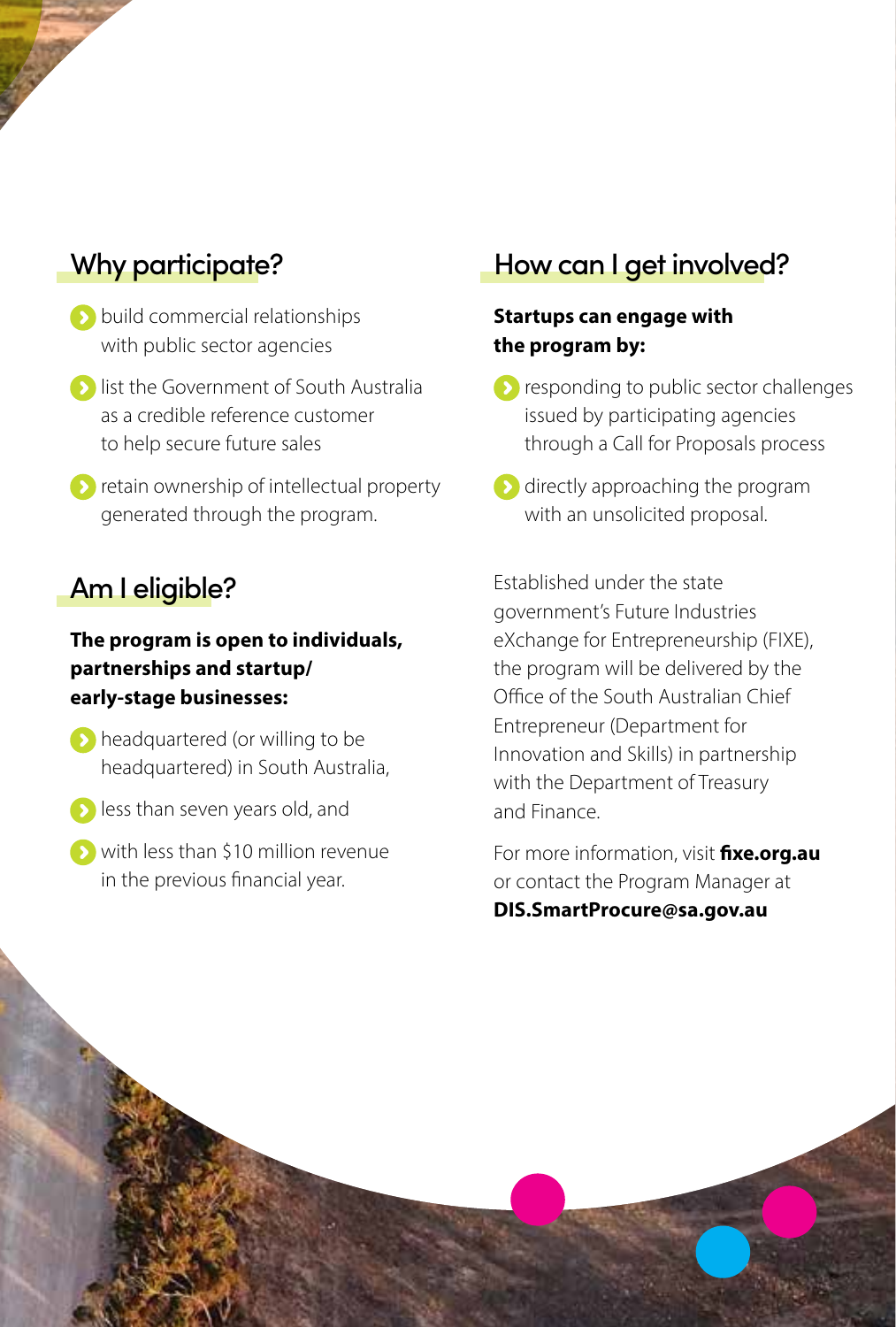#### Why participate?

- **build commercial relationships** with public sector agencies
- **b** list the Government of South Australia as a credible reference customer to help secure future sales
- **Example 2** retain ownership of intellectual property generated through the program.

#### Am I eligible?

#### **The program is open to individuals, partnerships and startup/ early-stage businesses:**

- **b** headquartered (or willing to be headquartered) in South Australia,
- **less than seven years old, and**
- with less than \$10 million revenue in the previous financial year.

#### How can I get involved?

#### **Startups can engage with the program by:**

- **P** responding to public sector challenges issued by participating agencies through a Call for Proposals process
- **D** directly approaching the program with an unsolicited proposal.

Established under the state government's Future Industries eXchange for Entrepreneurship (FIXE), the program will be delivered by the Office of the South Australian Chief Entrepreneur (Department for Innovation and Skills) in partnership with the Department of Treasury and Finance.

For more information, visit **fixe.org.au** or contact the Program Manager at

**DIS.SmartProcure@sa.gov.au**